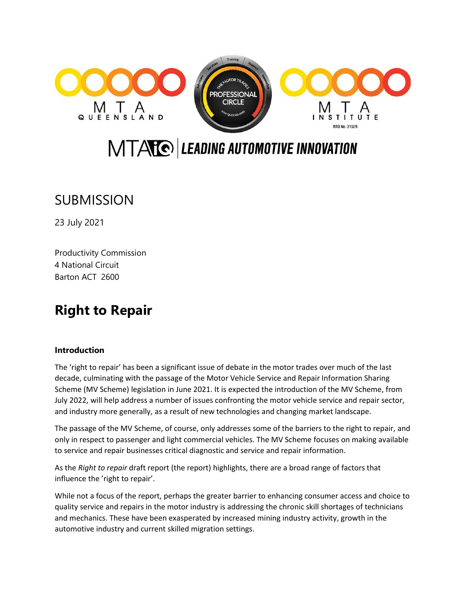

# MTATO LEADING AUTOMOTIVE INNOVATION

## **SUBMISSION**

23 July 2021

Productivity Commission 4 National Circuit Barton ACT 2600

## **Right to Repair**

## **Introduction**

The 'right to repair' has been a significant issue of debate in the motor trades over much of the last decade, culminating with the passage of the Motor Vehicle Service and Repair Information Sharing Scheme (MV Scheme) legislation in June 2021. It is expected the introduction of the MV Scheme, from July 2022, will help address a number of issues confronting the motor vehicle service and repair sector, and industry more generally, as a result of new technologies and changing market landscape.

The passage of the MV Scheme, of course, only addresses some of the barriers to the right to repair, and only in respect to passenger and light commercial vehicles. The MV Scheme focuses on making available to service and repair businesses critical diagnostic and service and repair information.

As the *Right to repair* draft report (the report) highlights, there are a broad range of factors that influence the 'right to repair'.

While not a focus of the report, perhaps the greater barrier to enhancing consumer access and choice to quality service and repairs in the motor industry is addressing the chronic skill shortages of technicians and mechanics. These have been exasperated by increased mining industry activity, growth in the automotive industry and current skilled migration settings.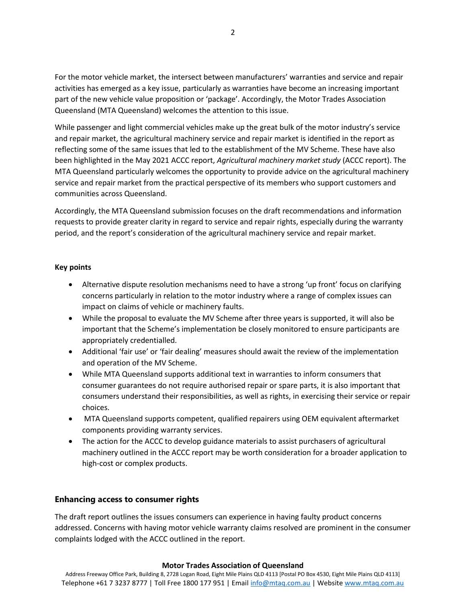For the motor vehicle market, the intersect between manufacturers' warranties and service and repair activities has emerged as a key issue, particularly as warranties have become an increasing important part of the new vehicle value proposition or 'package'. Accordingly, the Motor Trades Association Queensland (MTA Queensland) welcomes the attention to this issue.

While passenger and light commercial vehicles make up the great bulk of the motor industry's service and repair market, the agricultural machinery service and repair market is identified in the report as reflecting some of the same issues that led to the establishment of the MV Scheme. These have also been highlighted in the May 2021 ACCC report, *Agricultural machinery market study* (ACCC report). The MTA Queensland particularly welcomes the opportunity to provide advice on the agricultural machinery service and repair market from the practical perspective of its members who support customers and communities across Queensland.

Accordingly, the MTA Queensland submission focuses on the draft recommendations and information requests to provide greater clarity in regard to service and repair rights, especially during the warranty period, and the report's consideration of the agricultural machinery service and repair market.

## **Key points**

- Alternative dispute resolution mechanisms need to have a strong 'up front' focus on clarifying concerns particularly in relation to the motor industry where a range of complex issues can impact on claims of vehicle or machinery faults.
- While the proposal to evaluate the MV Scheme after three years is supported, it will also be important that the Scheme's implementation be closely monitored to ensure participants are appropriately credentialled.
- Additional 'fair use' or 'fair dealing' measures should await the review of the implementation and operation of the MV Scheme.
- While MTA Queensland supports additional text in warranties to inform consumers that consumer guarantees do not require authorised repair or spare parts, it is also important that consumers understand their responsibilities, as well as rights, in exercising their service or repair choices.
- MTA Queensland supports competent, qualified repairers using OEM equivalent aftermarket components providing warranty services.
- The action for the ACCC to develop guidance materials to assist purchasers of agricultural machinery outlined in the ACCC report may be worth consideration for a broader application to high-cost or complex products.

## **Enhancing access to consumer rights**

The draft report outlines the issues consumers can experience in having faulty product concerns addressed. Concerns with having motor vehicle warranty claims resolved are prominent in the consumer complaints lodged with the ACCC outlined in the report.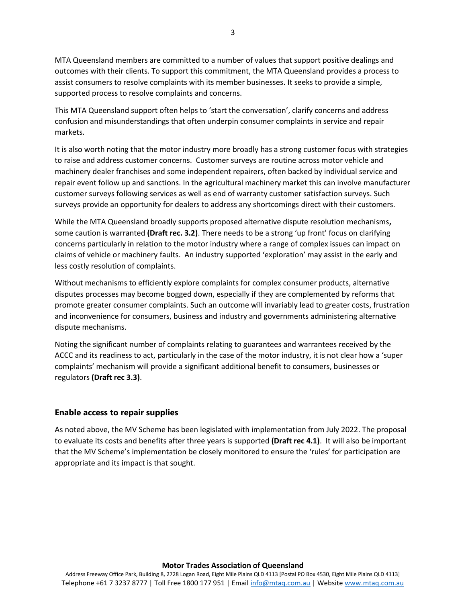MTA Queensland members are committed to a number of values that support positive dealings and outcomes with their clients. To support this commitment, the MTA Queensland provides a process to assist consumers to resolve complaints with its member businesses. It seeks to provide a simple, supported process to resolve complaints and concerns.

This MTA Queensland support often helps to 'start the conversation', clarify concerns and address confusion and misunderstandings that often underpin consumer complaints in service and repair markets.

It is also worth noting that the motor industry more broadly has a strong customer focus with strategies to raise and address customer concerns. Customer surveys are routine across motor vehicle and machinery dealer franchises and some independent repairers, often backed by individual service and repair event follow up and sanctions. In the agricultural machinery market this can involve manufacturer customer surveys following services as well as end of warranty customer satisfaction surveys. Such surveys provide an opportunity for dealers to address any shortcomings direct with their customers.

While the MTA Queensland broadly supports proposed alternative dispute resolution mechanisms**,** some caution is warranted **(Draft rec. 3.2)**. There needs to be a strong 'up front' focus on clarifying concerns particularly in relation to the motor industry where a range of complex issues can impact on claims of vehicle or machinery faults. An industry supported 'exploration' may assist in the early and less costly resolution of complaints.

Without mechanisms to efficiently explore complaints for complex consumer products, alternative disputes processes may become bogged down, especially if they are complemented by reforms that promote greater consumer complaints. Such an outcome will invariably lead to greater costs, frustration and inconvenience for consumers, business and industry and governments administering alternative dispute mechanisms.

Noting the significant number of complaints relating to guarantees and warrantees received by the ACCC and its readiness to act, particularly in the case of the motor industry, it is not clear how a 'super complaints' mechanism will provide a significant additional benefit to consumers, businesses or regulators **(Draft rec 3.3)**.

## **Enable access to repair supplies**

As noted above, the MV Scheme has been legislated with implementation from July 2022. The proposal to evaluate its costs and benefits after three years is supported **(Draft rec 4.1)**. It will also be important that the MV Scheme's implementation be closely monitored to ensure the 'rules' for participation are appropriate and its impact is that sought.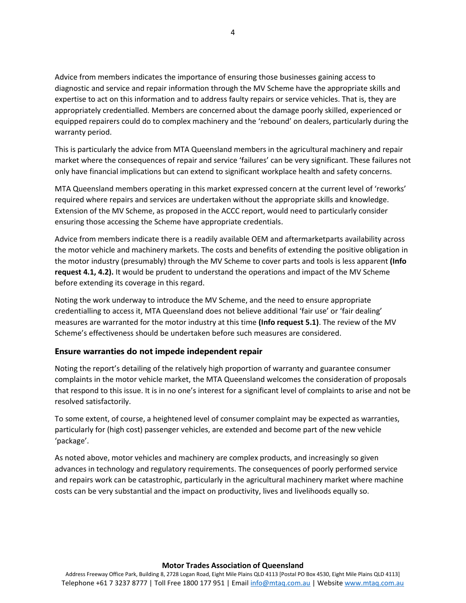Advice from members indicates the importance of ensuring those businesses gaining access to diagnostic and service and repair information through the MV Scheme have the appropriate skills and expertise to act on this information and to address faulty repairs or service vehicles. That is, they are appropriately credentialled. Members are concerned about the damage poorly skilled, experienced or equipped repairers could do to complex machinery and the 'rebound' on dealers, particularly during the warranty period.

This is particularly the advice from MTA Queensland members in the agricultural machinery and repair market where the consequences of repair and service 'failures' can be very significant. These failures not only have financial implications but can extend to significant workplace health and safety concerns.

MTA Queensland members operating in this market expressed concern at the current level of 'reworks' required where repairs and services are undertaken without the appropriate skills and knowledge. Extension of the MV Scheme, as proposed in the ACCC report, would need to particularly consider ensuring those accessing the Scheme have appropriate credentials.

Advice from members indicate there is a readily available OEM and aftermarketparts availability across the motor vehicle and machinery markets. The costs and benefits of extending the positive obligation in the motor industry (presumably) through the MV Scheme to cover parts and tools is less apparent **(Info request 4.1, 4.2).** It would be prudent to understand the operations and impact of the MV Scheme before extending its coverage in this regard.

Noting the work underway to introduce the MV Scheme, and the need to ensure appropriate credentialling to access it, MTA Queensland does not believe additional 'fair use' or 'fair dealing' measures are warranted for the motor industry at this time **(Info request 5.1)**. The review of the MV Scheme's effectiveness should be undertaken before such measures are considered.

## **Ensure warranties do not impede independent repair**

Noting the report's detailing of the relatively high proportion of warranty and guarantee consumer complaints in the motor vehicle market, the MTA Queensland welcomes the consideration of proposals that respond to this issue. It is in no one's interest for a significant level of complaints to arise and not be resolved satisfactorily.

To some extent, of course, a heightened level of consumer complaint may be expected as warranties, particularly for (high cost) passenger vehicles, are extended and become part of the new vehicle 'package'.

As noted above, motor vehicles and machinery are complex products, and increasingly so given advances in technology and regulatory requirements. The consequences of poorly performed service and repairs work can be catastrophic, particularly in the agricultural machinery market where machine costs can be very substantial and the impact on productivity, lives and livelihoods equally so.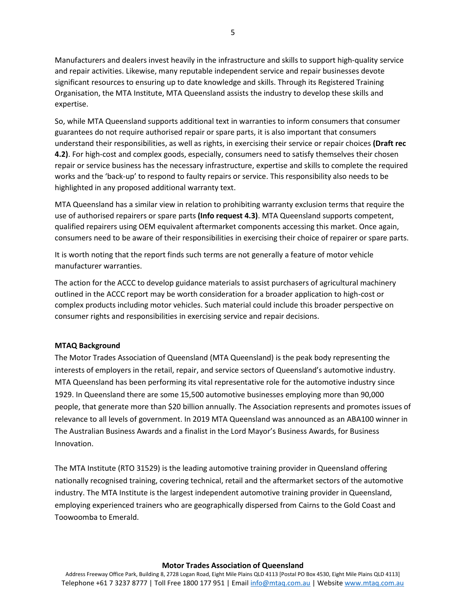Manufacturers and dealers invest heavily in the infrastructure and skills to support high-quality service and repair activities. Likewise, many reputable independent service and repair businesses devote significant resources to ensuring up to date knowledge and skills. Through its Registered Training Organisation, the MTA Institute, MTA Queensland assists the industry to develop these skills and expertise.

So, while MTA Queensland supports additional text in warranties to inform consumers that consumer guarantees do not require authorised repair or spare parts, it is also important that consumers understand their responsibilities, as well as rights, in exercising their service or repair choices **(Draft rec 4.2)**. For high-cost and complex goods, especially, consumers need to satisfy themselves their chosen repair or service business has the necessary infrastructure, expertise and skills to complete the required works and the 'back-up' to respond to faulty repairs or service. This responsibility also needs to be highlighted in any proposed additional warranty text.

MTA Queensland has a similar view in relation to prohibiting warranty exclusion terms that require the use of authorised repairers or spare parts **(Info request 4.3)**. MTA Queensland supports competent, qualified repairers using OEM equivalent aftermarket components accessing this market. Once again, consumers need to be aware of their responsibilities in exercising their choice of repairer or spare parts.

It is worth noting that the report finds such terms are not generally a feature of motor vehicle manufacturer warranties.

The action for the ACCC to develop guidance materials to assist purchasers of agricultural machinery outlined in the ACCC report may be worth consideration for a broader application to high-cost or complex products including motor vehicles. Such material could include this broader perspective on consumer rights and responsibilities in exercising service and repair decisions.

### **MTAQ Background**

The Motor Trades Association of Queensland (MTA Queensland) is the peak body representing the interests of employers in the retail, repair, and service sectors of Queensland's automotive industry. MTA Queensland has been performing its vital representative role for the automotive industry since 1929. In Queensland there are some 15,500 automotive businesses employing more than 90,000 people, that generate more than \$20 billion annually. The Association represents and promotes issues of relevance to all levels of government. In 2019 MTA Queensland was announced as an ABA100 winner in The Australian Business Awards and a finalist in the Lord Mayor's Business Awards, for Business Innovation.

The MTA Institute (RTO 31529) is the leading automotive training provider in Queensland offering nationally recognised training, covering technical, retail and the aftermarket sectors of the automotive industry. The MTA Institute is the largest independent automotive training provider in Queensland, employing experienced trainers who are geographically dispersed from Cairns to the Gold Coast and Toowoomba to Emerald.